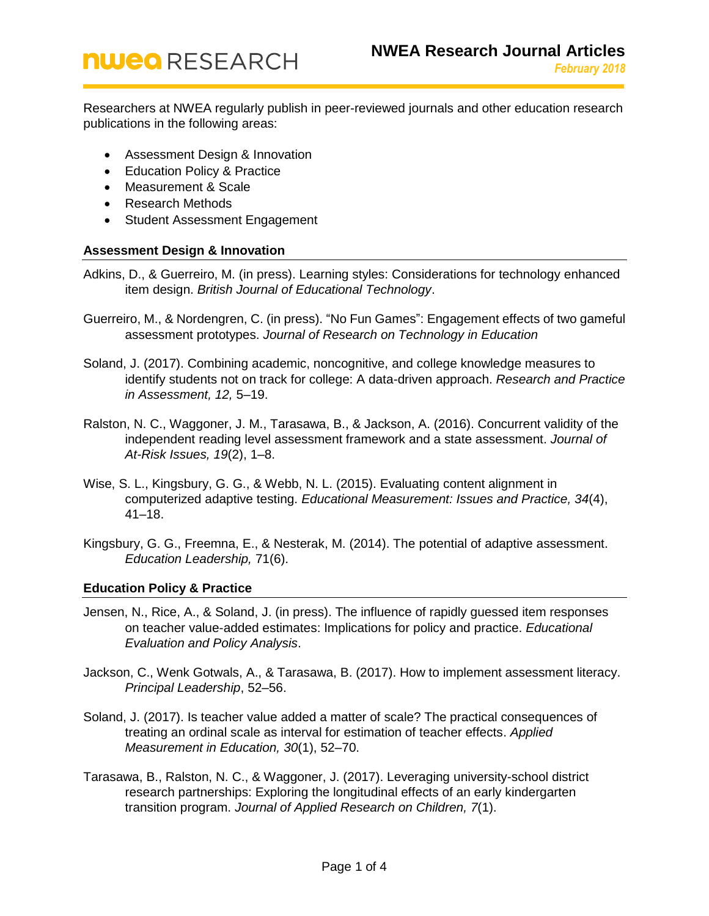Researchers at NWEA regularly publish in peer-reviewed journals and other education research publications in the following areas:

- [Assessment Design & Innovation](#page-0-0)
- [Education Policy & Practice](#page-0-1)
- [Measurement & Scale](#page-1-0)
- [Research Methods](#page-2-0)
- [Student Assessment Engagement](#page-2-1)

## <span id="page-0-0"></span>**Assessment Design & Innovation**

- Adkins, D., & Guerreiro, M. (in press). Learning styles: Considerations for technology enhanced item design. *British Journal of Educational Technology*.
- Guerreiro, M., & Nordengren, C. (in press). "No Fun Games": Engagement effects of two gameful assessment prototypes. *Journal of Research on Technology in Education*
- Soland, J. (2017). Combining academic, noncognitive, and college knowledge measures to identify students not on track for college: A data-driven approach. *Research and Practice in Assessment, 12,* 5–19.
- Ralston, N. C., Waggoner, J. M., Tarasawa, B., & Jackson, A. (2016). Concurrent validity of the independent reading level assessment framework and a state assessment. *Journal of At-Risk Issues, 19*(2), 1–8.
- Wise, S. L., Kingsbury, G. G., & Webb, N. L. (2015). Evaluating content alignment in computerized adaptive testing. *Educational Measurement: Issues and Practice, 34*(4), 41–18.
- Kingsbury, G. G., Freemna, E., & Nesterak, M. (2014). The potential of adaptive assessment. *Education Leadership,* 71(6).

## <span id="page-0-1"></span>**Education Policy & Practice**

- Jensen, N., Rice, A., & Soland, J. (in press). The influence of rapidly guessed item responses on teacher value-added estimates: Implications for policy and practice. *Educational Evaluation and Policy Analysis*.
- Jackson, C., Wenk Gotwals, A., & Tarasawa, B. (2017). How to implement assessment literacy. *Principal Leadership*, 52–56.
- Soland, J. (2017). Is teacher value added a matter of scale? The practical consequences of treating an ordinal scale as interval for estimation of teacher effects. *Applied Measurement in Education, 30*(1), 52–70.
- Tarasawa, B., Ralston, N. C., & Waggoner, J. (2017). Leveraging university-school district research partnerships: Exploring the longitudinal effects of an early kindergarten transition program. *Journal of Applied Research on Children, 7*(1).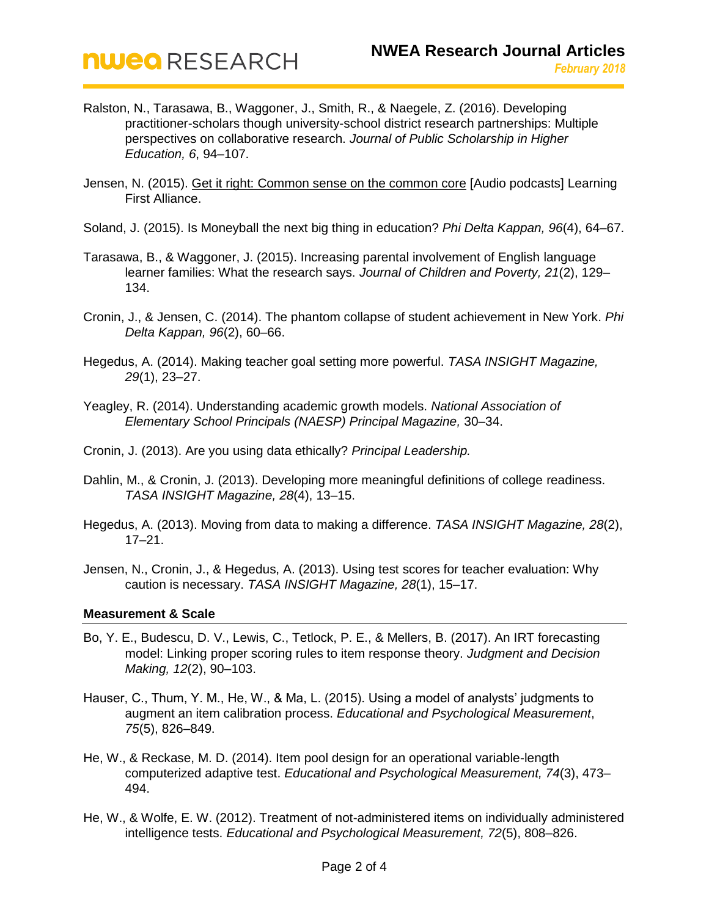- Ralston, N., Tarasawa, B., Waggoner, J., Smith, R., & Naegele, Z. (2016). Developing practitioner-scholars though university-school district research partnerships: Multiple perspectives on collaborative research. *Journal of Public Scholarship in Higher Education, 6*, 94–107.
- Jensen, N. (2015). [Get it right: Common sense on the common core](https://learningfirst.org/blog/get-it-right-podcasts-nate-jensen) [Audio podcasts] Learning First Alliance.
- Soland, J. (2015). Is Moneyball the next big thing in education? *Phi Delta Kappan, 96*(4), 64–67.
- Tarasawa, B., & Waggoner, J. (2015). Increasing parental involvement of English language learner families: What the research says. *Journal of Children and Poverty, 21*(2), 129– 134.
- Cronin, J., & Jensen, C. (2014). The phantom collapse of student achievement in New York. *Phi Delta Kappan, 96*(2), 60–66.
- Hegedus, A. (2014). Making teacher goal setting more powerful. *TASA INSIGHT Magazine, 29*(1), 23–27.
- Yeagley, R. (2014). Understanding academic growth models. *National Association of Elementary School Principals (NAESP) Principal Magazine,* 30–34.
- Cronin, J. (2013). Are you using data ethically? *Principal Leadership.*
- Dahlin, M., & Cronin, J. (2013). Developing more meaningful definitions of college readiness. *TASA INSIGHT Magazine, 28*(4), 13–15.
- Hegedus, A. (2013). Moving from data to making a difference. *TASA INSIGHT Magazine, 28*(2), 17–21.
- Jensen, N., Cronin, J., & Hegedus, A. (2013). Using test scores for teacher evaluation: Why caution is necessary. *TASA INSIGHT Magazine, 28*(1), 15–17.

## <span id="page-1-0"></span>**Measurement & Scale**

- Bo, Y. E., Budescu, D. V., Lewis, C., Tetlock, P. E., & Mellers, B. (2017). An IRT forecasting model: Linking proper scoring rules to item response theory. *Judgment and Decision Making, 12*(2), 90–103.
- Hauser, C., Thum, Y. M., He, W., & Ma, L. (2015). Using a model of analysts' judgments to augment an item calibration process. *Educational and Psychological Measurement*, *75*(5), 826–849.
- He, W., & Reckase, M. D. (2014). Item pool design for an operational variable-length computerized adaptive test. *Educational and Psychological Measurement, 74*(3), 473– 494.
- He, W., & Wolfe, E. W. (2012). Treatment of not-administered items on individually administered intelligence tests. *Educational and Psychological Measurement, 72*(5), 808–826.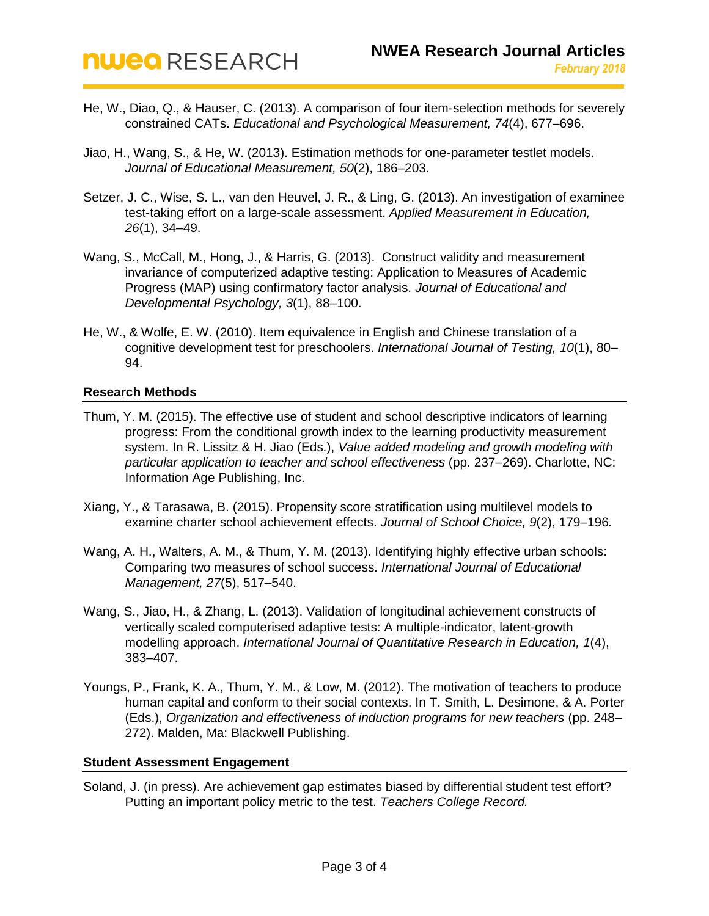- He, W., Diao, Q., & Hauser, C. (2013). A comparison of four item-selection methods for severely constrained CATs. *Educational and Psychological Measurement, 74*(4), 677–696.
- Jiao, H., Wang, S., & He, W. (2013). Estimation methods for one-parameter testlet models. *Journal of Educational Measurement, 50*(2), 186–203.
- Setzer, J. C., Wise, S. L., van den Heuvel, J. R., & Ling, G. (2013). An investigation of examinee test-taking effort on a large-scale assessment. *Applied Measurement in Education, 26*(1), 34–49.
- Wang, S., McCall, M., Hong, J., & Harris, G. (2013). Construct validity and measurement invariance of computerized adaptive testing: Application to Measures of Academic Progress (MAP) using confirmatory factor analysis. *Journal of Educational and Developmental Psychology, 3*(1), 88–100.
- He, W., & Wolfe, E. W. (2010). Item equivalence in English and Chinese translation of a cognitive development test for preschoolers. *International Journal of Testing, 10*(1), 80– 94.

## <span id="page-2-0"></span>**Research Methods**

- Thum, Y. M. (2015). The effective use of student and school descriptive indicators of learning progress: From the conditional growth index to the learning productivity measurement system. In R. Lissitz & H. Jiao (Eds.), *Value added modeling and growth modeling with particular application to teacher and school effectiveness* (pp. 237–269). Charlotte, NC: Information Age Publishing, Inc.
- Xiang, Y., & Tarasawa, B. (2015). Propensity score stratification using multilevel models to examine charter school achievement effects. *Journal of School Choice, 9*(2), 179–196*.*
- Wang, A. H., Walters, A. M., & Thum, Y. M. (2013). Identifying highly effective urban schools: Comparing two measures of school success. *International Journal of Educational Management, 27*(5), 517–540.
- Wang, S., Jiao, H., & Zhang, L. (2013). Validation of longitudinal achievement constructs of vertically scaled computerised adaptive tests: A multiple-indicator, latent-growth modelling approach. *International Journal of Quantitative Research in Education, 1*(4), 383–407.
- Youngs, P., Frank, K. A., Thum, Y. M., & Low, M. (2012). The motivation of teachers to produce human capital and conform to their social contexts. In T. Smith, L. Desimone, & A. Porter (Eds.), *Organization and effectiveness of induction programs for new teachers* (pp. 248– 272). Malden, Ma: Blackwell Publishing.

## <span id="page-2-1"></span>**Student Assessment Engagement**

Soland, J. (in press). Are achievement gap estimates biased by differential student test effort? Putting an important policy metric to the test. *Teachers College Record.*